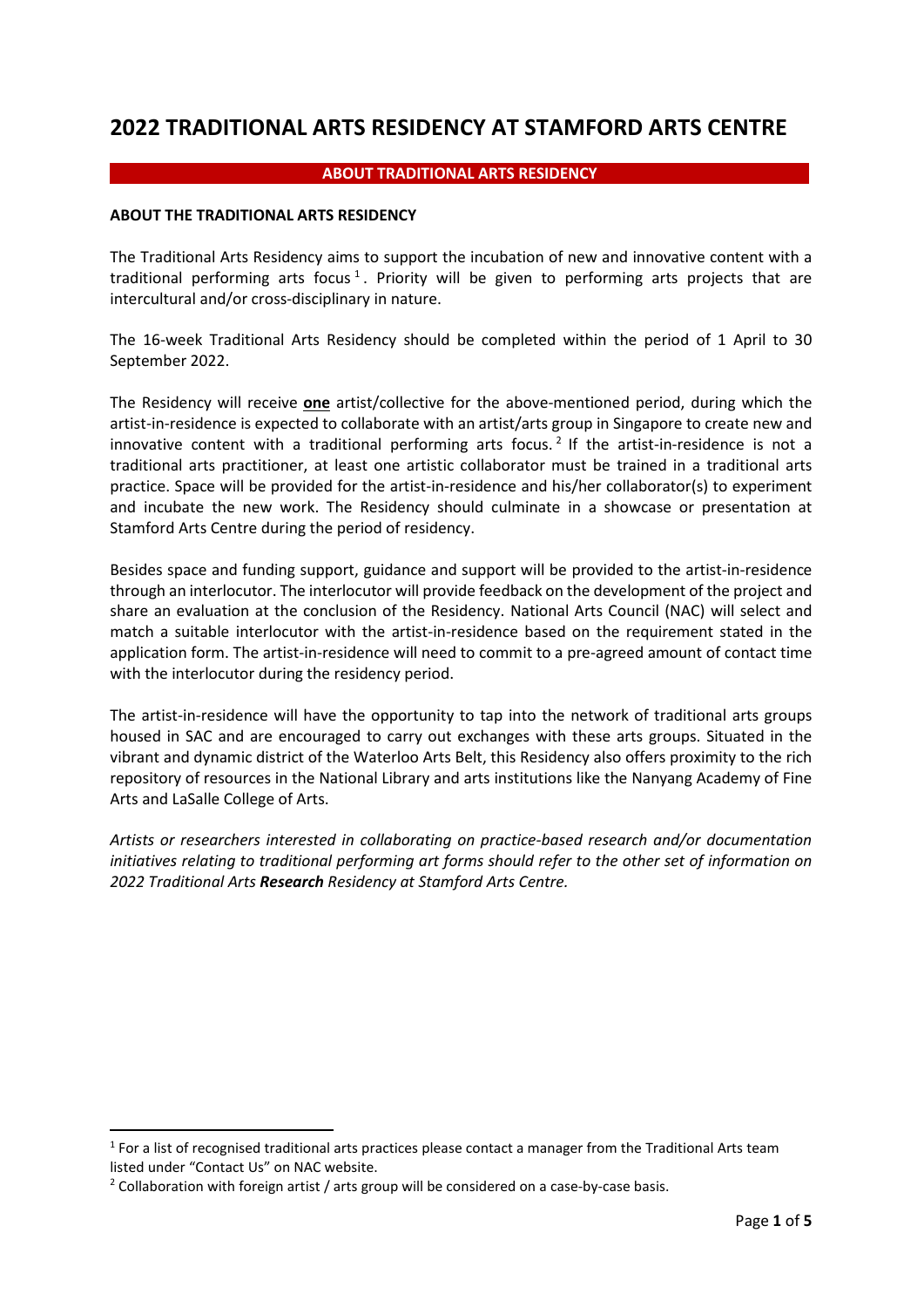# **2022 TRADITIONAL ARTS RESIDENCY AT STAMFORD ARTS CENTRE**

#### **ABOUT TRADITIONAL ARTS RESIDENCY**

#### **ABOUT THE TRADITIONAL ARTS RESIDENCY**

The Traditional Arts Residency aims to support the incubation of new and innovative content with a traditional performing arts focus<sup>[1](#page-0-0)</sup>. Priority will be given to performing arts projects that are intercultural and/or cross-disciplinary in nature.

The 16-week Traditional Arts Residency should be completed within the period of 1 April to 30 September 2022.

The Residency will receive **one** artist/collective for the above-mentioned period, during which the artist-in-residence is expected to collaborate with an artist/arts group in Singapore to create new and innovative content with a traditional performing arts focus.<sup>[2](#page-0-1)</sup> If the artist-in-residence is not a traditional arts practitioner, at least one artistic collaborator must be trained in a traditional arts practice. Space will be provided for the artist-in-residence and his/her collaborator(s) to experiment and incubate the new work. The Residency should culminate in a showcase or presentation at Stamford Arts Centre during the period of residency.

Besides space and funding support, guidance and support will be provided to the artist-in-residence through an interlocutor. The interlocutor will provide feedback on the development of the project and share an evaluation at the conclusion of the Residency. National Arts Council (NAC) will select and match a suitable interlocutor with the artist-in-residence based on the requirement stated in the application form. The artist-in-residence will need to commit to a pre-agreed amount of contact time with the interlocutor during the residency period.

The artist-in-residence will have the opportunity to tap into the network of traditional arts groups housed in SAC and are encouraged to carry out exchanges with these arts groups. Situated in the vibrant and dynamic district of the Waterloo Arts Belt, this Residency also offers proximity to the rich repository of resources in the National Library and arts institutions like the Nanyang Academy of Fine Arts and LaSalle College of Arts.

*Artists or researchers interested in collaborating on practice-based research and/or documentation initiatives relating to traditional performing art forms should refer to the other set of information on 2022 Traditional Arts Research Residency at Stamford Arts Centre.*

<span id="page-0-0"></span><sup>&</sup>lt;sup>1</sup> For a list of recognised traditional arts practices please contact a manager from the Traditional Arts team listed under "Contact Us" on NAC website.

<span id="page-0-1"></span> $2$  Collaboration with foreign artist / arts group will be considered on a case-by-case basis.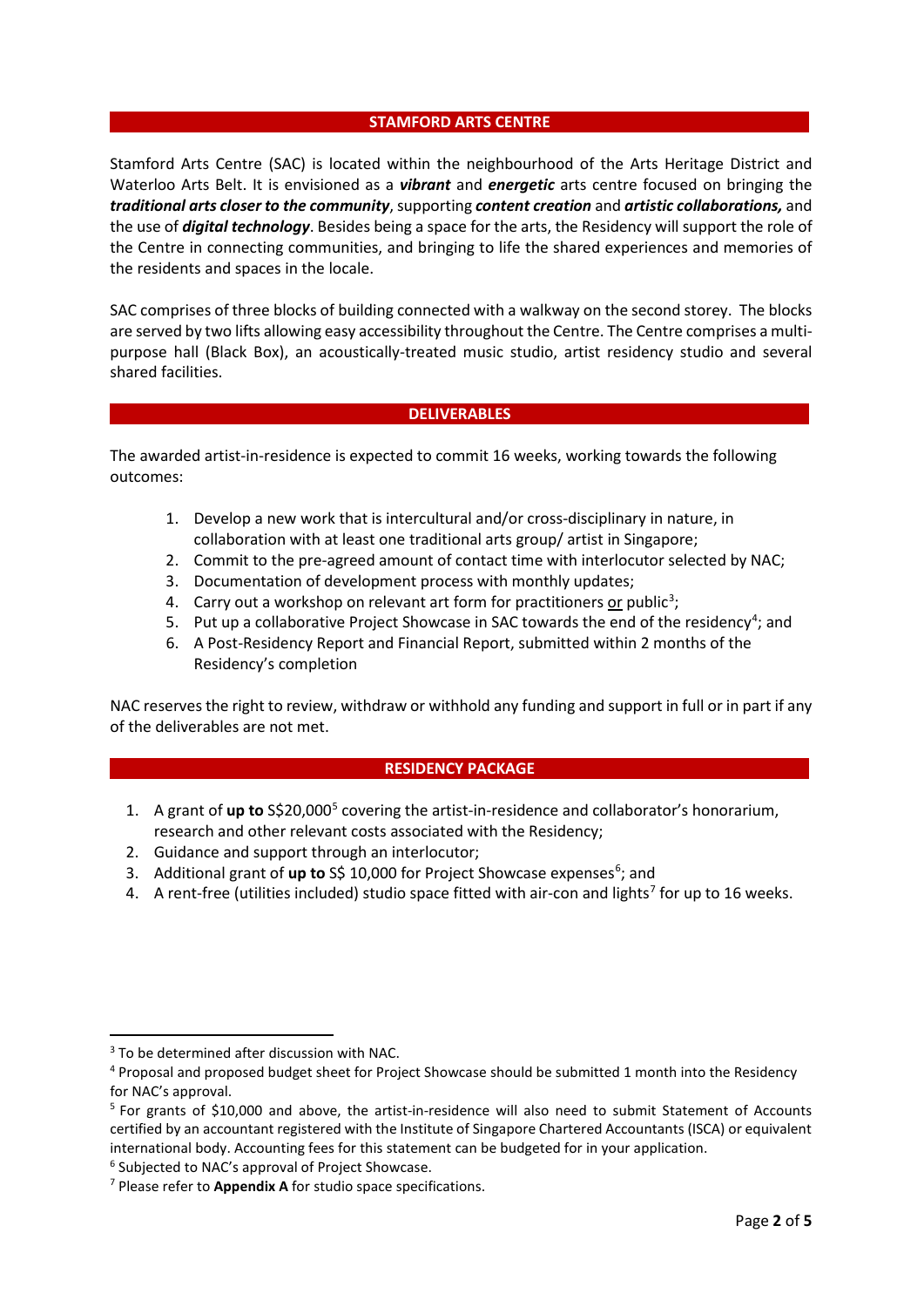#### **STAMFORD ARTS CENTRE**

Stamford Arts Centre (SAC) is located within the neighbourhood of the Arts Heritage District and Waterloo Arts Belt. It is envisioned as a *vibrant* and *energetic* arts centre focused on bringing the *traditional arts closer to the community*, supporting *content creation* and *artistic collaborations,* and the use of *digital technology*. Besides being a space for the arts, the Residency will support the role of the Centre in connecting communities, and bringing to life the shared experiences and memories of the residents and spaces in the locale.

SAC comprises of three blocks of building connected with a walkway on the second storey. The blocks are served by two lifts allowing easy accessibility throughout the Centre. The Centre comprises a multipurpose hall (Black Box), an acoustically-treated music studio, artist residency studio and several shared facilities.

#### **DELIVERABLES**

The awarded artist-in-residence is expected to commit 16 weeks, working towards the following outcomes:

- 1. Develop a new work that is intercultural and/or cross-disciplinary in nature, in collaboration with at least one traditional arts group/ artist in Singapore;
- 2. Commit to the pre-agreed amount of contact time with interlocutor selected by NAC;
- 3. Documentation of development process with monthly updates;
- 4. Carry out a workshop on relevant art form for practitioners or public<sup>[3](#page-1-0)</sup>;
- 5. Put up a collaborative Project Showcase in SAC towards the end of the residency<sup>[4](#page-1-1)</sup>; and
- 6. A Post-Residency Report and Financial Report, submitted within 2 months of the Residency's completion

NAC reserves the right to review, withdraw or withhold any funding and support in full or in part if any of the deliverables are not met.

#### **RESIDENCY PACKAGE**

- 1. A grant of **up to** S\$20,000[5](#page-1-2) covering the artist-in-residence and collaborator's honorarium, research and other relevant costs associated with the Residency;
- 2. Guidance and support through an interlocutor;
- 3. Additional grant of up to S\$ 10,000 for Project Showcase expenses<sup>[6](#page-1-3)</sup>; and
- 4. A rent-free (utilities included) studio space fitted with air-con and lights<sup>[7](#page-1-4)</sup> for up to 16 weeks.

<span id="page-1-0"></span><sup>&</sup>lt;sup>3</sup> To be determined after discussion with NAC.

<span id="page-1-1"></span><sup>4</sup> Proposal and proposed budget sheet for Project Showcase should be submitted 1 month into the Residency for NAC's approval.

<span id="page-1-2"></span> $5$  For grants of \$10,000 and above, the artist-in-residence will also need to submit Statement of Accounts certified by an accountant registered with the Institute of Singapore Chartered Accountants (ISCA) or equivalent international body. Accounting fees for this statement can be budgeted for in your application.

<span id="page-1-3"></span><sup>6</sup> Subjected to NAC's approval of Project Showcase.

<span id="page-1-4"></span><sup>7</sup> Please refer to **Appendix A** for studio space specifications.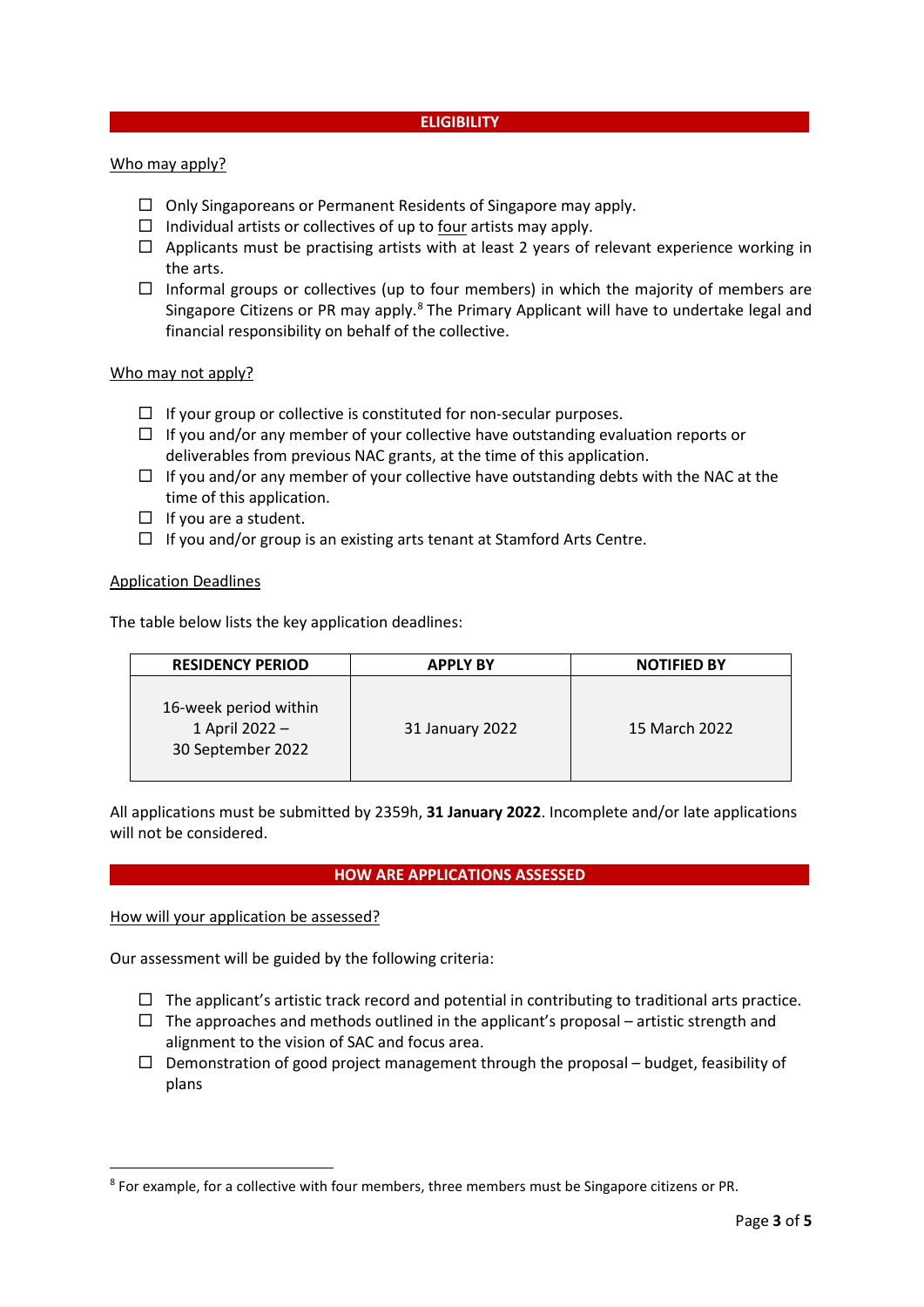#### **ELIGIBILITY**

#### Who may apply?

- $\Box$  Only Singaporeans or Permanent Residents of Singapore may apply.
- $\Box$  Individual artists or collectives of up to four artists may apply.
- $\Box$  Applicants must be practising artists with at least 2 years of relevant experience working in the arts.
- $\Box$  Informal groups or collectives (up to four members) in which the majority of members are Singapore Citizens or PR may apply.<sup>[8](#page-2-0)</sup> The Primary Applicant will have to undertake legal and financial responsibility on behalf of the collective.

#### Who may not apply?

- $\Box$  If your group or collective is constituted for non-secular purposes.
- $\Box$  If you and/or any member of your collective have outstanding evaluation reports or deliverables from previous NAC grants, at the time of this application.
- $\Box$  If you and/or any member of your collective have outstanding debts with the NAC at the time of this application.
- $\Box$  If you are a student.
- $\Box$  If you and/or group is an existing arts tenant at Stamford Arts Centre.

#### Application Deadlines

The table below lists the key application deadlines:

| <b>RESIDENCY PERIOD</b>                                      | <b>APPLY BY</b> | <b>NOTIFIED BY</b> |
|--------------------------------------------------------------|-----------------|--------------------|
| 16-week period within<br>1 April 2022 -<br>30 September 2022 | 31 January 2022 | 15 March 2022      |

All applications must be submitted by 2359h, **31 January 2022**. Incomplete and/or late applications will not be considered.

#### **HOW ARE APPLICATIONS ASSESSED**

How will your application be assessed?

Our assessment will be guided by the following criteria:

- $\Box$  The applicant's artistic track record and potential in contributing to traditional arts practice.
- $\Box$  The approaches and methods outlined in the applicant's proposal artistic strength and alignment to the vision of SAC and focus area.
- $\Box$  Demonstration of good project management through the proposal budget, feasibility of plans

<span id="page-2-0"></span><sup>8</sup> For example, for a collective with four members, three members must be Singapore citizens or PR.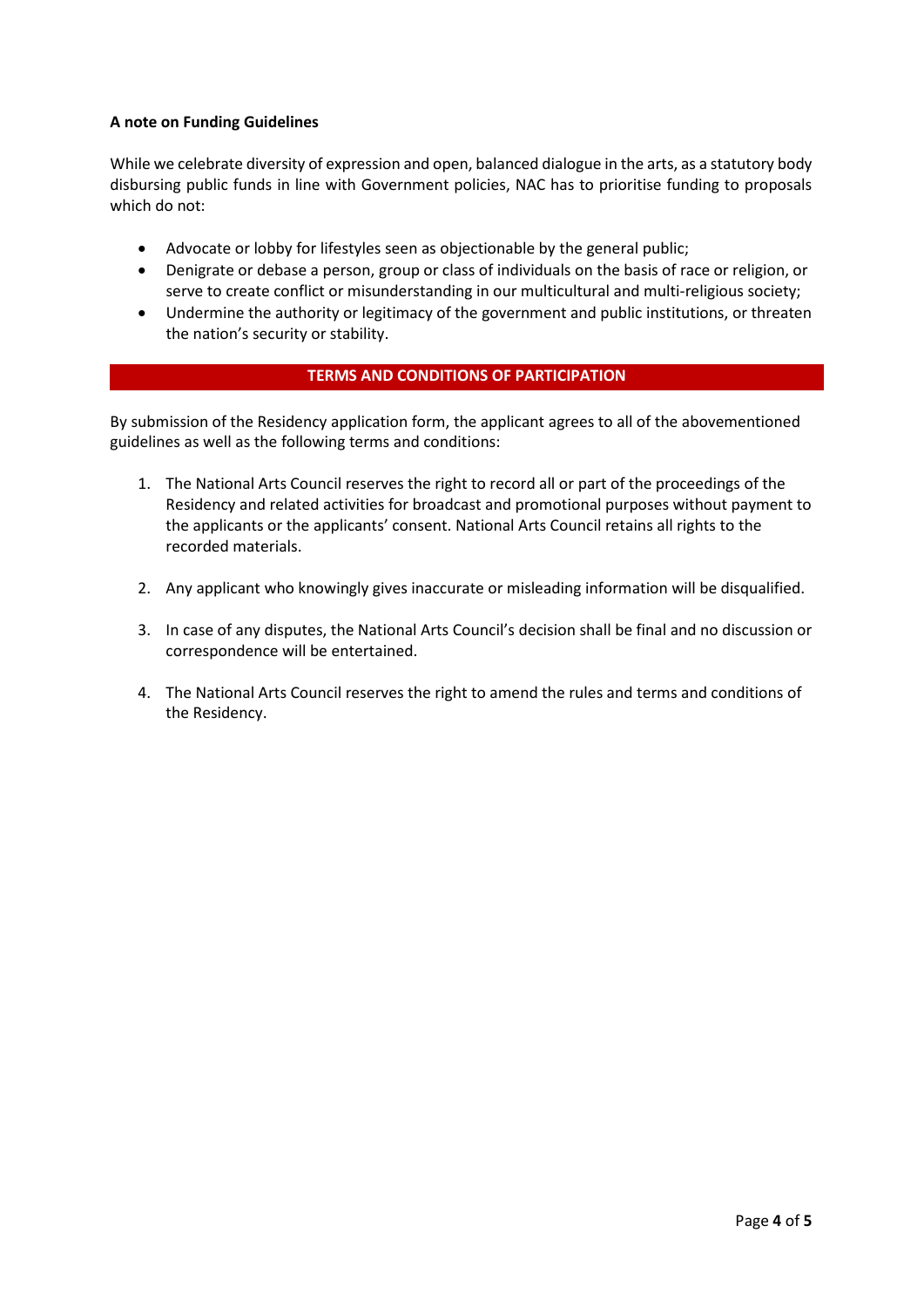## **A note on Funding Guidelines**

While we celebrate diversity of expression and open, balanced dialogue in the arts, as a statutory body disbursing public funds in line with Government policies, NAC has to prioritise funding to proposals which do not:

- Advocate or lobby for lifestyles seen as objectionable by the general public;
- Denigrate or debase a person, group or class of individuals on the basis of race or religion, or serve to create conflict or misunderstanding in our multicultural and multi-religious society;
- Undermine the authority or legitimacy of the government and public institutions, or threaten the nation's security or stability.

## **TERMS AND CONDITIONS OF PARTICIPATION**

By submission of the Residency application form, the applicant agrees to all of the abovementioned guidelines as well as the following terms and conditions:

- 1. The National Arts Council reserves the right to record all or part of the proceedings of the Residency and related activities for broadcast and promotional purposes without payment to the applicants or the applicants' consent. National Arts Council retains all rights to the recorded materials.
- 2. Any applicant who knowingly gives inaccurate or misleading information will be disqualified.
- 3. In case of any disputes, the National Arts Council's decision shall be final and no discussion or correspondence will be entertained.
- 4. The National Arts Council reserves the right to amend the rules and terms and conditions of the Residency.